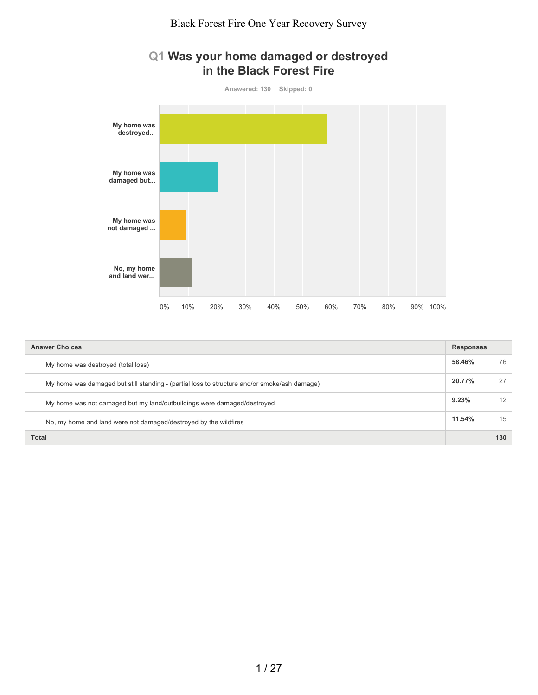### **Q1 Was your home damaged or destroyed in the Black Forest Fire**



| <b>Answer Choices</b>                                                                        | <b>Responses</b> |     |
|----------------------------------------------------------------------------------------------|------------------|-----|
| My home was destroyed (total loss)                                                           | 58.46%           | 76  |
| My home was damaged but still standing - (partial loss to structure and/or smoke/ash damage) | 20.77%           | 27  |
| My home was not damaged but my land/outbuildings were damaged/destroyed                      | 9.23%            | 12  |
| No, my home and land were not damaged/destroyed by the wildfires                             | 11.54%           | 15  |
| <b>Total</b>                                                                                 |                  | 130 |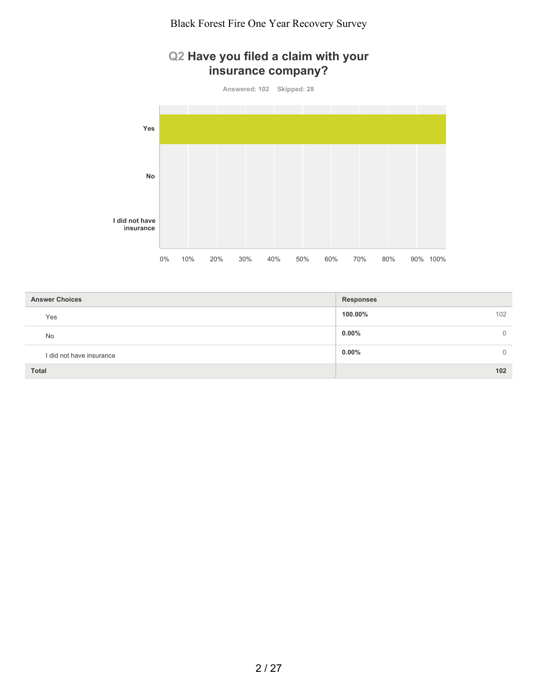## **Q2 Have you filed a claim with your insurance company?**

**Answered: 102 Skipped: 28**



| <b>Answer Choices</b>    | <b>Responses</b>     |
|--------------------------|----------------------|
| Yes                      | 100.00%<br>102       |
| <b>No</b>                | $0.00\%$<br>$\Omega$ |
| I did not have insurance | $0.00\%$<br>$\Omega$ |
| <b>Total</b>             | 102                  |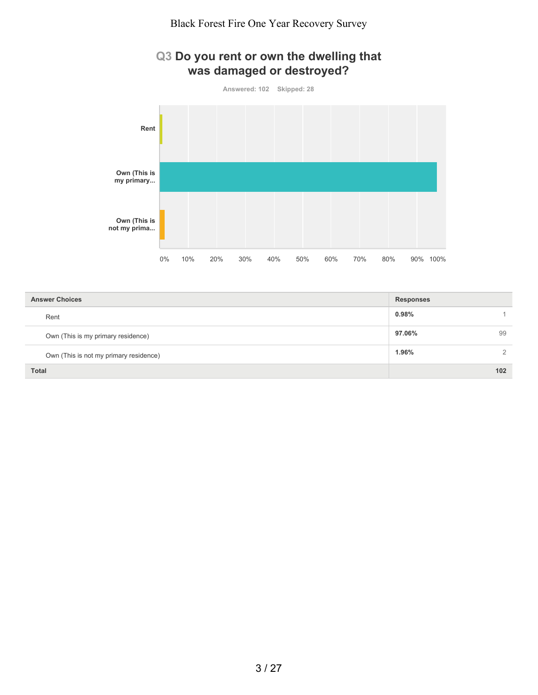



| <b>Answer Choices</b>                  | <b>Responses</b> |     |
|----------------------------------------|------------------|-----|
| Rent                                   | 0.98%            |     |
| Own (This is my primary residence)     | 97.06%           | 99  |
| Own (This is not my primary residence) | 1.96%            | 2   |
| <b>Total</b>                           |                  | 102 |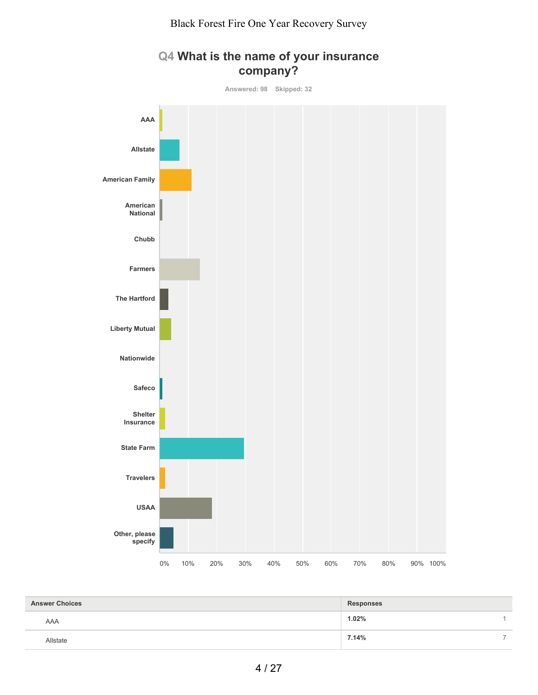

#### **Q4 What is the name of your insurance company?**

| <b>Answer Choices</b> | <b>Responses</b> |   |
|-----------------------|------------------|---|
| AAA                   | 1.02%            |   |
| <b>Nistate</b>        | 7.14%            | - |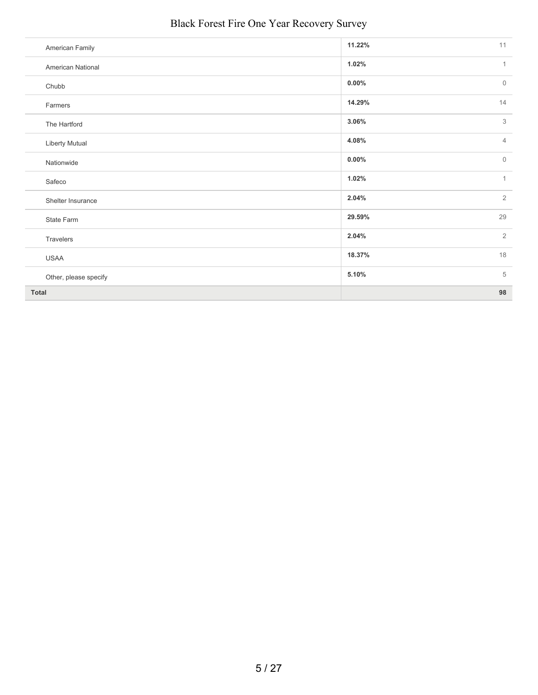| American Family       | 11.22%   | 11             |
|-----------------------|----------|----------------|
| American National     | 1.02%    | $\mathbf{1}$   |
| Chubb                 | $0.00\%$ | $\overline{0}$ |
| Farmers               | 14.29%   | 14             |
| The Hartford          | 3.06%    | 3              |
| <b>Liberty Mutual</b> | 4.08%    | $\overline{4}$ |
| Nationwide            | $0.00\%$ | $\overline{0}$ |
| Safeco                | 1.02%    | $\mathbf{1}$   |
| Shelter Insurance     | 2.04%    | $\overline{2}$ |
| State Farm            | 29.59%   | 29             |
| Travelers             | 2.04%    | $\overline{2}$ |
| <b>USAA</b>           | 18.37%   | 18             |
| Other, please specify | 5.10%    | 5              |
| <b>Total</b>          |          | 98             |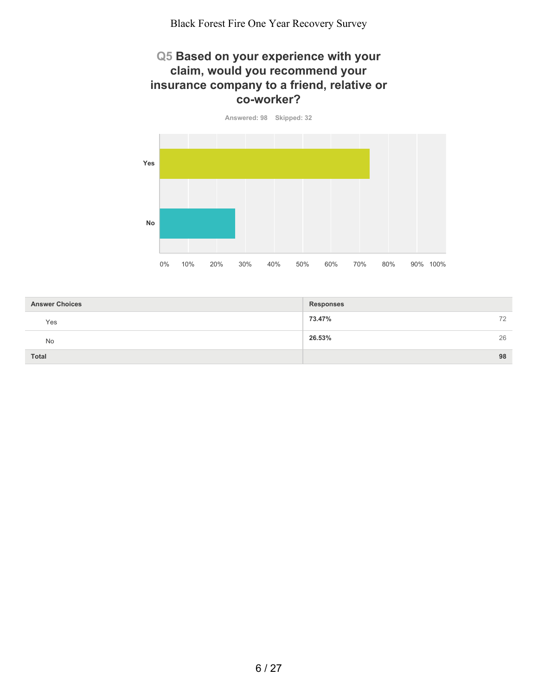#### **Q5 Based on your experience with your claim, would you recommend your insurance company to a friend, relative or co-worker?**

**Answered: 98 Skipped: 32 Yes No** 0% 10% 20% 30% 40% 50% 60% 70% 80% 90% 100%

| <b>Answer Choices</b> | <b>Responses</b> |
|-----------------------|------------------|
| Yes                   | 73.47%<br>72     |
| No                    | 26.53%<br>26     |
| <b>Total</b>          | 98               |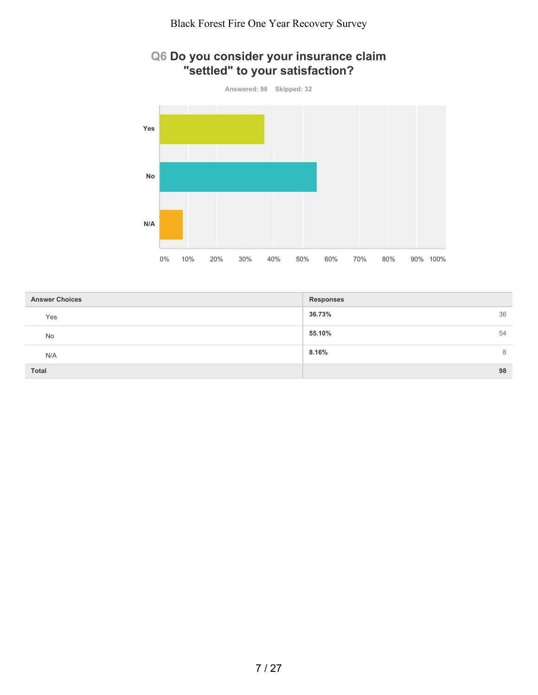## **Q6 Do you consider your insurance claim "settled" to your satisfaction?**



| <b>Answer Choices</b> | <b>Responses</b> |
|-----------------------|------------------|
| Yes                   | 36.73%<br>36     |
| No                    | 55.10%<br>54     |
| N/A                   | 8.16%<br>8       |
| Total                 | 98               |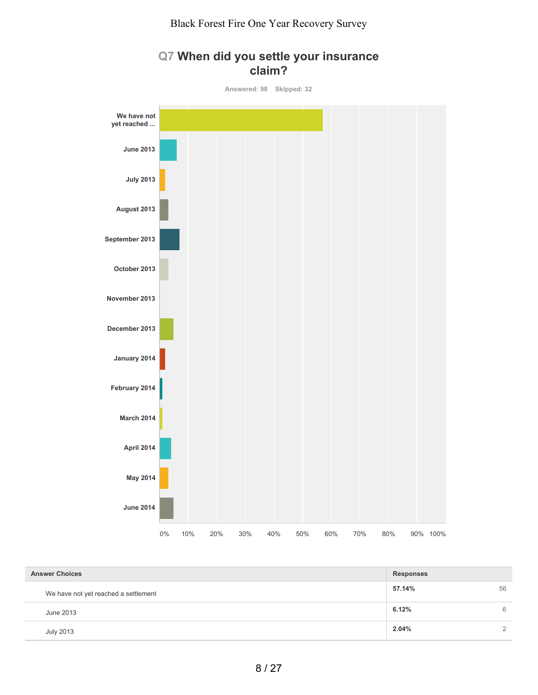

## **Q7 When did you settle your insurance claim?**

| <b>Answer Choices</b>                | <b>Responses</b> |               |
|--------------------------------------|------------------|---------------|
| We have not yet reached a settlement | 57.14%           | 56            |
| June 2013                            | 6.12%            | 6             |
| <b>July 2013</b>                     | 2.04%            | $\mathcal{D}$ |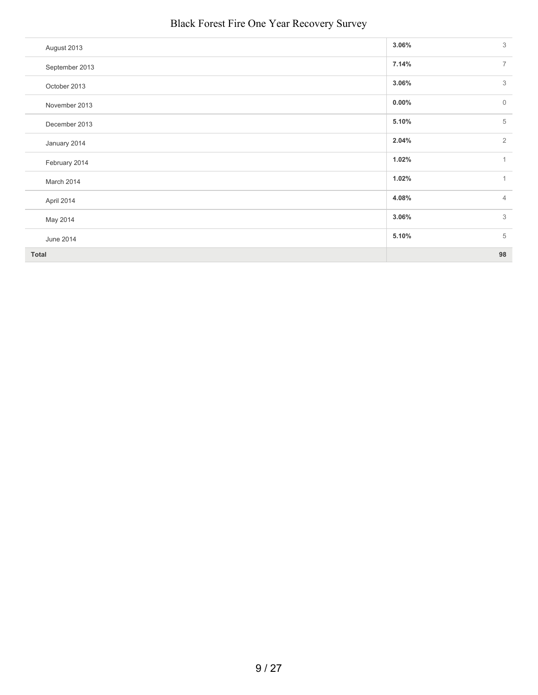| August 2013    | 3<br>3.06%                      |
|----------------|---------------------------------|
| September 2013 | 7.14%<br>$\overline{7}$         |
| October 2013   | 3.06%<br>3                      |
| November 2013  | $0.00\%$<br>$\mathsf{O}\xspace$ |
| December 2013  | 5<br>5.10%                      |
| January 2014   | $\overline{2}$<br>2.04%         |
| February 2014  | 1.02%<br>$\mathbf{1}$           |
| March 2014     | 1.02%<br>$\mathbf{1}$           |
| April 2014     | 4.08%<br>$\overline{4}$         |
| May 2014       | 3<br>3.06%                      |
| June 2014      | 5<br>5.10%                      |
| <b>Total</b>   | 98                              |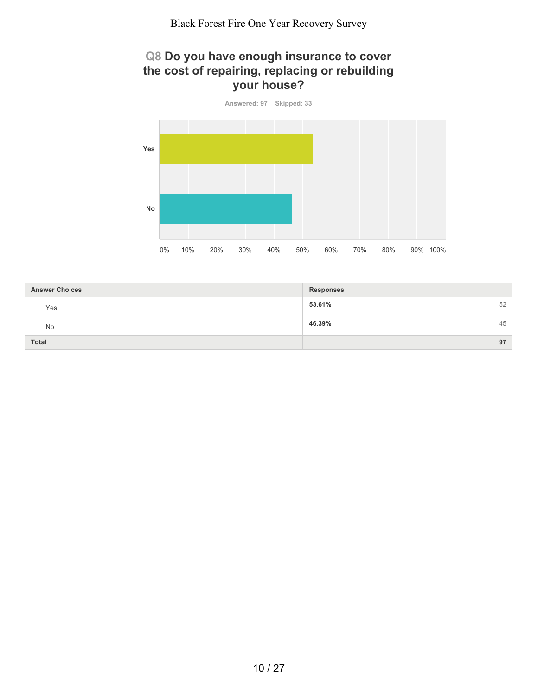## **Q8 Do you have enough insurance to cover the cost of repairing, replacing or rebuilding your house?**



| <b>Answer Choices</b> | <b>Responses</b> |
|-----------------------|------------------|
| Yes                   | 53.61%<br>52     |
| No                    | 46.39%<br>45     |
| <b>Total</b>          | 97               |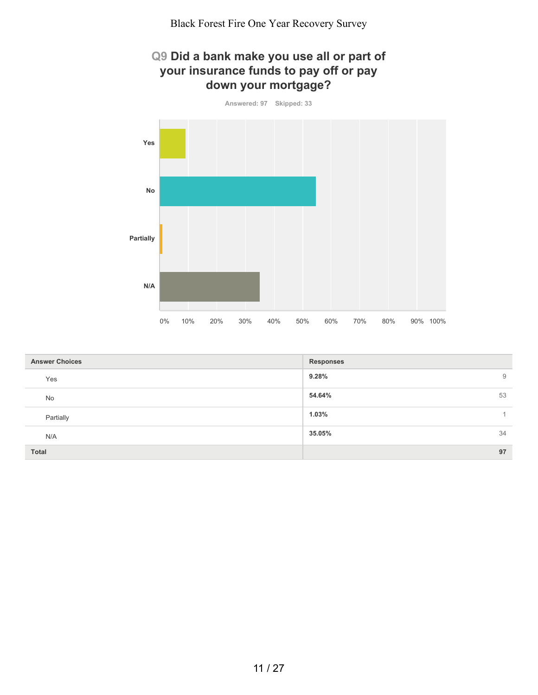## **Q9 Did a bank make you use all or part of your insurance funds to pay off or pay down your mortgage?**



| <b>Answer Choices</b> | <b>Responses</b> |
|-----------------------|------------------|
| Yes                   | 9.28%<br>9       |
| No                    | 54.64%<br>53     |
| Partially             | 1.03%            |
| N/A                   | 34<br>35.05%     |
| Total                 | 97               |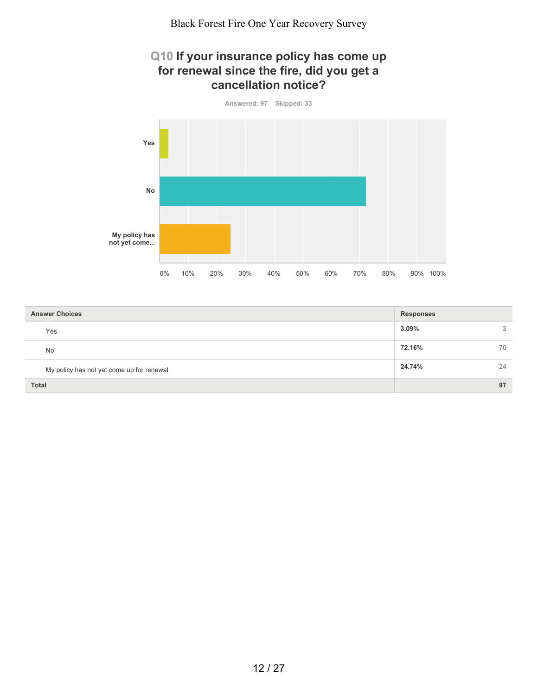#### **Q10 If your insurance policy has come up for renewal since the fire, did you get a cancellation notice?**



| <b>Answer Choices</b>                     | <b>Responses</b> |    |
|-------------------------------------------|------------------|----|
| Yes                                       | 3.09%            | 3  |
| No                                        | 72.16%           | 70 |
| My policy has not yet come up for renewal | 24.74%           | 24 |
| <b>Total</b>                              |                  | 97 |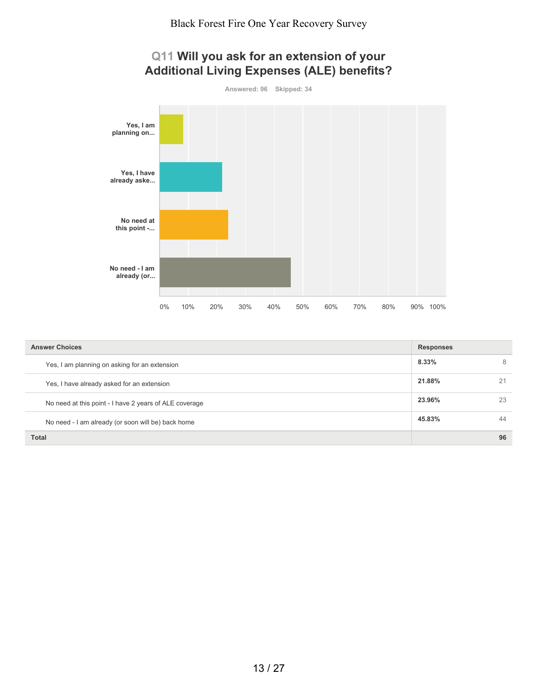

**Answered: 96 Skipped: 34 Yes, I am planning on... Yes, I have already aske... No need at this point -... No need - I am already (or...** 0% 10% 20% 30% 40% 50% 60% 70% 80% 90% 100%

| <b>Answer Choices</b>                                  | <b>Responses</b> |    |
|--------------------------------------------------------|------------------|----|
| Yes, I am planning on asking for an extension          | 8.33%            | 8  |
| Yes, I have already asked for an extension             | 21.88%           | 21 |
| No need at this point - I have 2 years of ALE coverage | 23.96%           | 23 |
| No need - I am already (or soon will be) back home     | 45.83%           | 44 |
| Total                                                  |                  | 96 |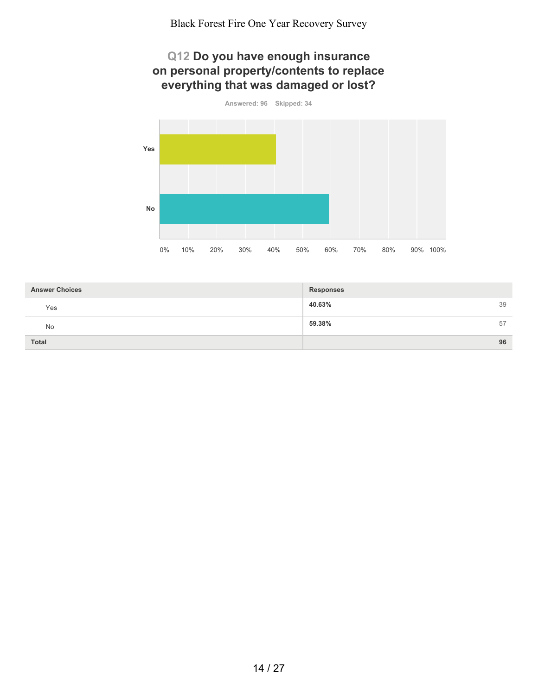#### **Q12 Do you have enough insurance on personal property/contents to replace everything that was damaged or lost?**



| <b>Answer Choices</b> | <b>Responses</b> |    |
|-----------------------|------------------|----|
| Yes                   | 40.63%           | 39 |
| No                    | 59.38%           | 57 |
| <b>Total</b>          |                  | 96 |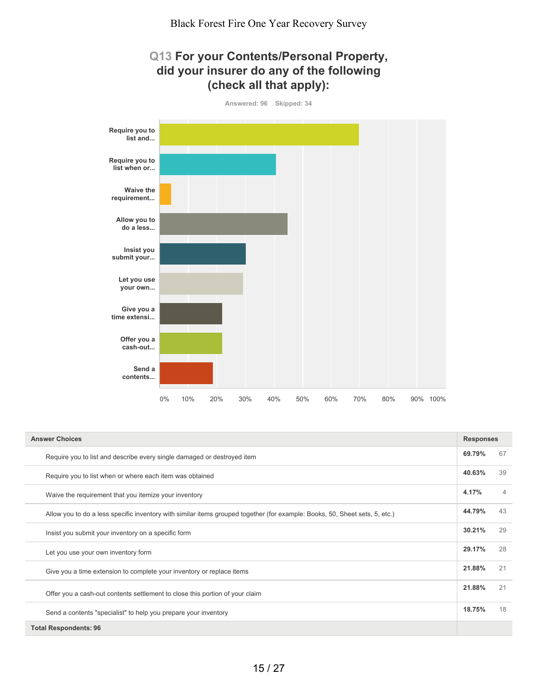#### **Q13 For your Contents/Personal Property, did your insurer do any of the following (check all that apply):**



| <b>Answer Choices</b>                                                                                                       | <b>Responses</b> |                |
|-----------------------------------------------------------------------------------------------------------------------------|------------------|----------------|
| Require you to list and describe every single damaged or destroyed item                                                     | 69.79%           | 67             |
| Require you to list when or where each item was obtained                                                                    | 40.63%           | 39             |
| Waive the requirement that you itemize your inventory                                                                       | 4.17%            | $\overline{4}$ |
| Allow you to do a less specific inventory with similar items grouped together (for example: Books, 50, Sheet sets, 5, etc.) | 44.79%           | 43             |
| Insist you submit your inventory on a specific form                                                                         | 30.21%           | 29             |
| Let you use your own inventory form                                                                                         | 29.17%           | 28             |
| Give you a time extension to complete your inventory or replace items                                                       | 21.88%           | 21             |
| Offer you a cash-out contents settlement to close this portion of your claim                                                | 21.88%           | 21             |
| Send a contents "specialist" to help you prepare your inventory                                                             | 18.75%           | 18             |
| <b>Total Respondents: 96</b>                                                                                                |                  |                |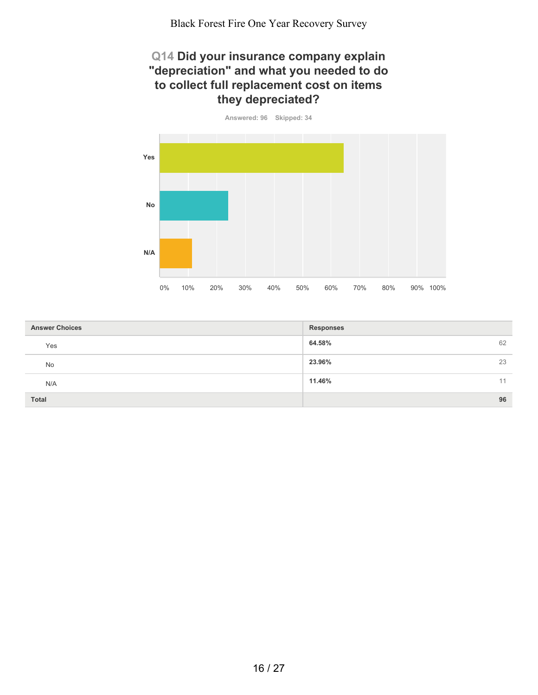#### **Q14 Did your insurance company explain "depreciation" and what you needed to do to collect full replacement cost on items they depreciated?**



| <b>Answer Choices</b> | <b>Responses</b> |
|-----------------------|------------------|
| Yes                   | 62<br>64.58%     |
| No                    | 23.96%<br>23     |
| N/A                   | 11.46%<br>11     |
| <b>Total</b>          | 96               |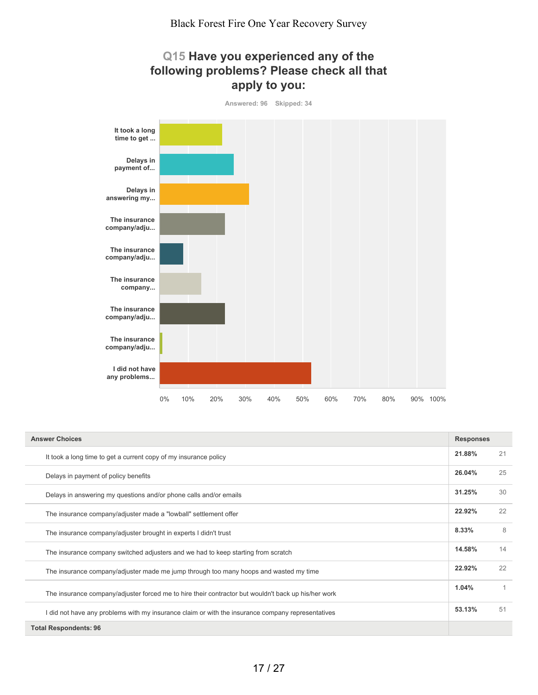#### **Q15 Have you experienced any of the following problems? Please check all that apply to you:**



| <b>Answer Choices</b>                                                                               | <b>Responses</b> |    |
|-----------------------------------------------------------------------------------------------------|------------------|----|
| It took a long time to get a current copy of my insurance policy                                    | 21.88%           | 21 |
| Delays in payment of policy benefits                                                                | 26.04%           | 25 |
| Delays in answering my questions and/or phone calls and/or emails                                   | 31.25%           | 30 |
| The insurance company/adjuster made a "lowball" settlement offer                                    | 22.92%           | 22 |
| The insurance company/adjuster brought in experts I didn't trust                                    | 8.33%            | 8  |
| The insurance company switched adjusters and we had to keep starting from scratch                   | 14.58%           | 14 |
| The insurance company/adjuster made me jump through too many hoops and wasted my time               | 22.92%           | 22 |
| The insurance company/adjuster forced me to hire their contractor but wouldn't back up his/her work | 1.04%            | 1  |
| I did not have any problems with my insurance claim or with the insurance company representatives   | 53.13%           | 51 |
| <b>Total Respondents: 96</b>                                                                        |                  |    |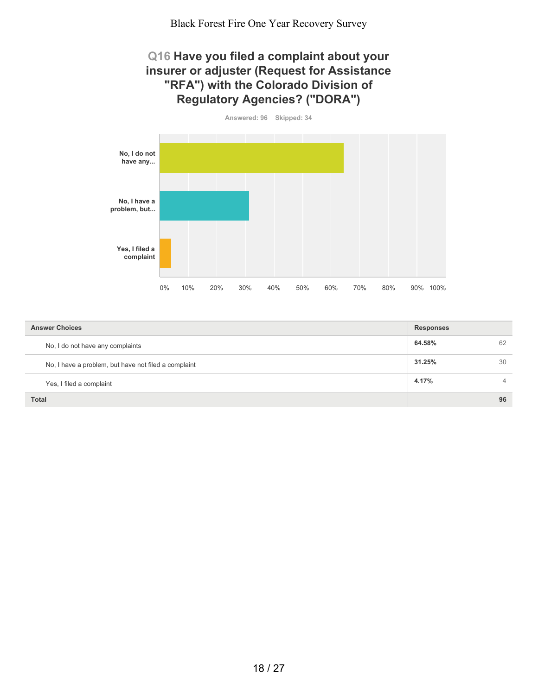#### **Q16 Have you filed a complaint about your insurer or adjuster (Request for Assistance "RFA") with the Colorado Division of Regulatory Agencies? ("DORA")**

**Answered: 96 Skipped: 34 No, I do not have any... No, I have a problem, but... Yes, I filed a complaint** 0% 10% 20% 30% 40% 50% 60% 70% 80% 90% 100%

| <b>Answer Choices</b>                                | <b>Responses</b> |                |
|------------------------------------------------------|------------------|----------------|
| No, I do not have any complaints                     | 64.58%           | 62             |
| No, I have a problem, but have not filed a complaint | 31.25%           | 30             |
| Yes, I filed a complaint                             | 4.17%            | $\overline{4}$ |
| <b>Total</b>                                         |                  | 96             |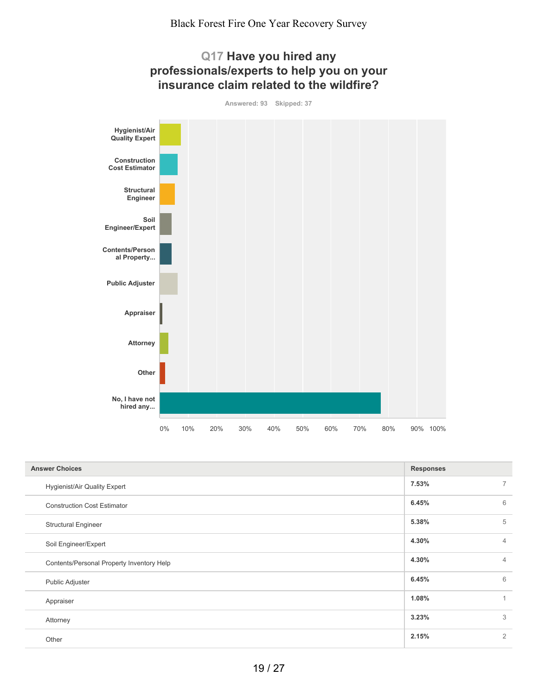

| <b>Answer Choices</b>                     | <b>Responses</b> |                |
|-------------------------------------------|------------------|----------------|
| <b>Hygienist/Air Quality Expert</b>       | 7.53%            | $\overline{7}$ |
| <b>Construction Cost Estimator</b>        | 6.45%            | 6              |
| <b>Structural Engineer</b>                | 5.38%            | 5              |
| Soil Engineer/Expert                      | 4.30%            | $\overline{4}$ |
| Contents/Personal Property Inventory Help | 4.30%            | $\overline{4}$ |
| Public Adjuster                           | 6.45%            | 6              |
| Appraiser                                 | 1.08%            | 1              |
| Attorney                                  | 3.23%            | 3              |
| Other                                     | 2.15%            | $\overline{2}$ |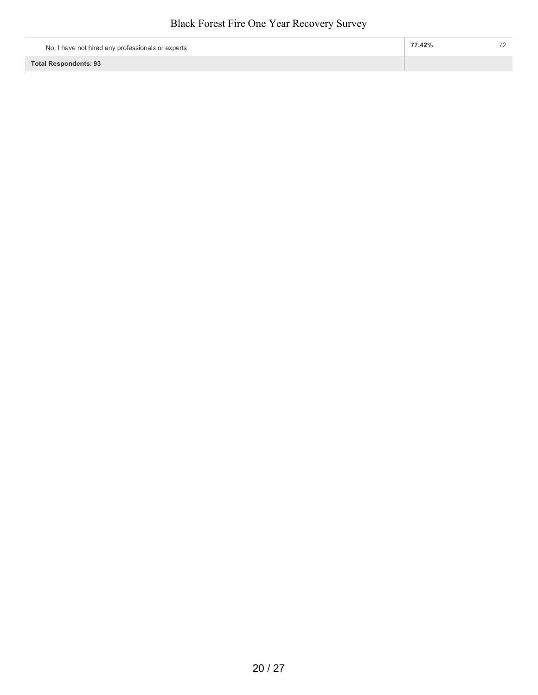| No, I have not hired any professionals or experts | 77.42% |  |
|---------------------------------------------------|--------|--|
| <b>Total Respondents: 93</b>                      |        |  |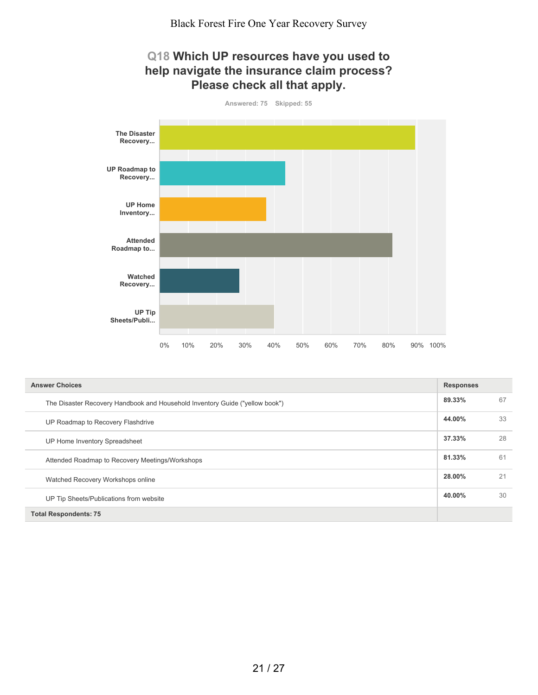#### **Q18 Which UP resources have you used to help navigate the insurance claim process? Please check all that apply.**



| <b>Answer Choices</b>                                                        | <b>Responses</b> |    |
|------------------------------------------------------------------------------|------------------|----|
| The Disaster Recovery Handbook and Household Inventory Guide ("yellow book") | 89.33%           | 67 |
| UP Roadmap to Recovery Flashdrive                                            | 44.00%           | 33 |
| UP Home Inventory Spreadsheet                                                | 37.33%           | 28 |
| Attended Roadmap to Recovery Meetings/Workshops                              | 81.33%           | 61 |
| Watched Recovery Workshops online                                            | 28.00%           | 21 |
| UP Tip Sheets/Publications from website                                      | 40.00%           | 30 |
| <b>Total Respondents: 75</b>                                                 |                  |    |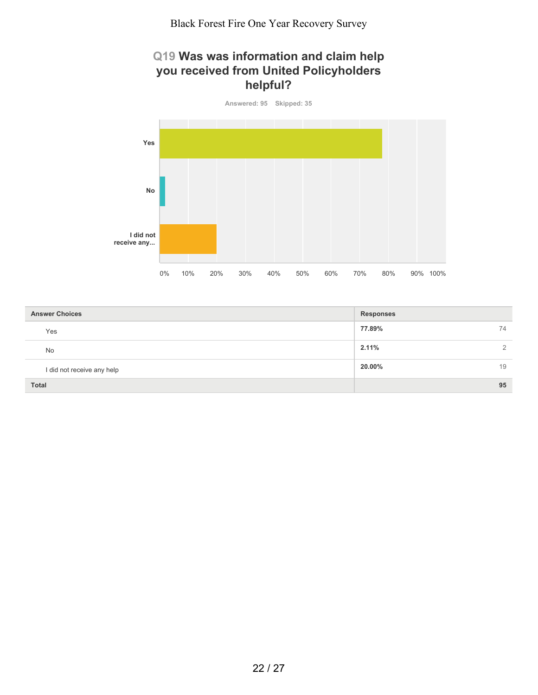#### **Q19 Was was information and claim help you received from United Policyholders helpful?**



| <b>Answer Choices</b>      | <b>Responses</b> |
|----------------------------|------------------|
| Yes                        | 77.89%<br>74     |
| No                         | 2.11%<br>2       |
| I did not receive any help | 20.00%<br>19     |
| <b>Total</b>               | 95               |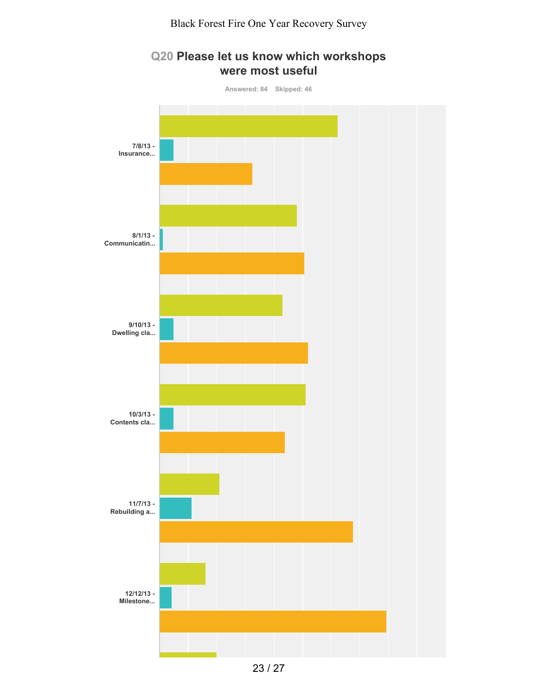

#### **Q20 Please let us know which workshops were most useful**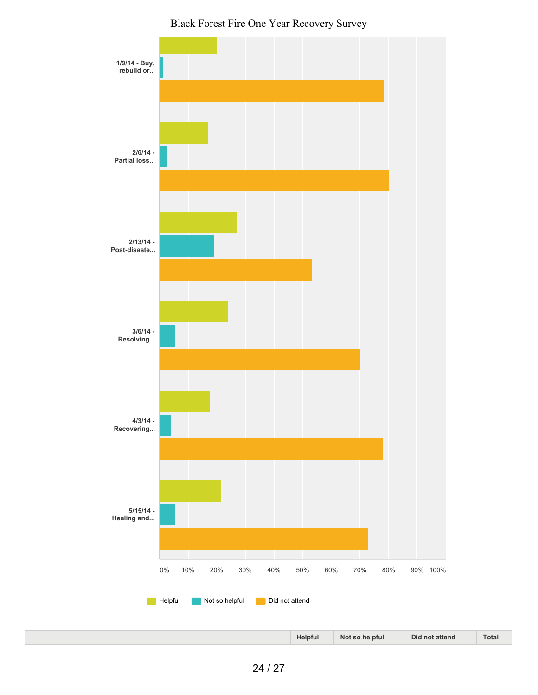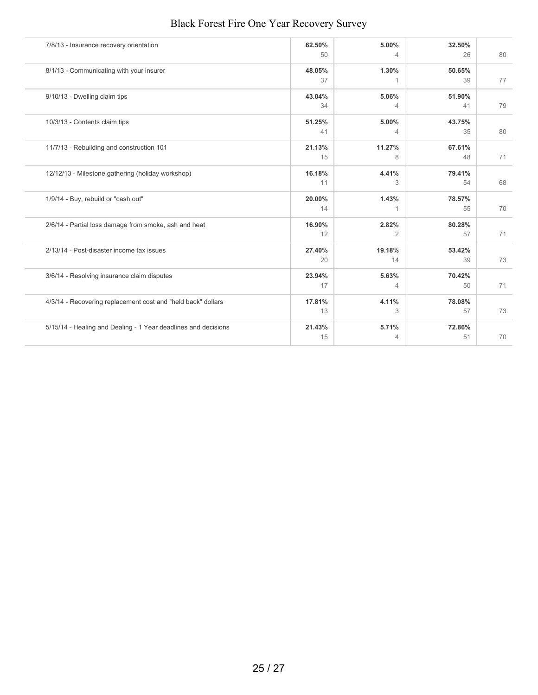| 7/8/13 - Insurance recovery orientation                        | 62.50%<br>50 | 5.00%<br>4            | 32.50%<br>26 | 80 |
|----------------------------------------------------------------|--------------|-----------------------|--------------|----|
| 8/1/13 - Communicating with your insurer                       | 48.05%<br>37 | 1.30%<br>1            | 50.65%<br>39 | 77 |
| 9/10/13 - Dwelling claim tips                                  | 43.04%<br>34 | 5.06%<br>4            | 51.90%<br>41 | 79 |
| 10/3/13 - Contents claim tips                                  | 51.25%<br>41 | 5.00%<br>4            | 43.75%<br>35 | 80 |
| 11/7/13 - Rebuilding and construction 101                      | 21.13%<br>15 | 11.27%<br>8           | 67.61%<br>48 | 71 |
| 12/12/13 - Milestone gathering (holiday workshop)              | 16.18%<br>11 | 4.41%<br>3            | 79.41%<br>54 | 68 |
| 1/9/14 - Buy, rebuild or "cash out"                            | 20.00%<br>14 | 1.43%<br>$\mathbf{1}$ | 78.57%<br>55 | 70 |
| 2/6/14 - Partial loss damage from smoke, ash and heat          | 16.90%<br>12 | 2.82%<br>2            | 80.28%<br>57 | 71 |
| 2/13/14 - Post-disaster income tax issues                      | 27.40%<br>20 | 19.18%<br>14          | 53.42%<br>39 | 73 |
| 3/6/14 - Resolving insurance claim disputes                    | 23.94%<br>17 | 5.63%<br>4            | 70.42%<br>50 | 71 |
| 4/3/14 - Recovering replacement cost and "held back" dollars   | 17.81%<br>13 | 4.11%<br>3            | 78.08%<br>57 | 73 |
| 5/15/14 - Healing and Dealing - 1 Year deadlines and decisions | 21.43%<br>15 | 5.71%<br>4            | 72.86%<br>51 | 70 |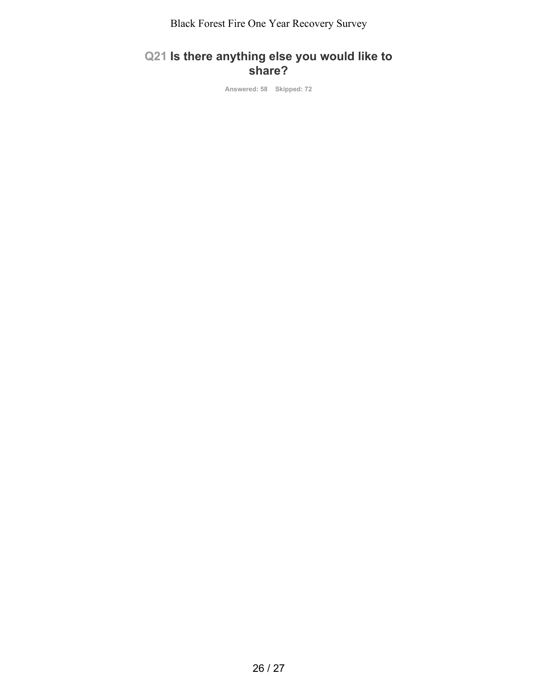## **Q21 Is there anything else you would like to share?**

**Answered: 58 Skipped: 72**